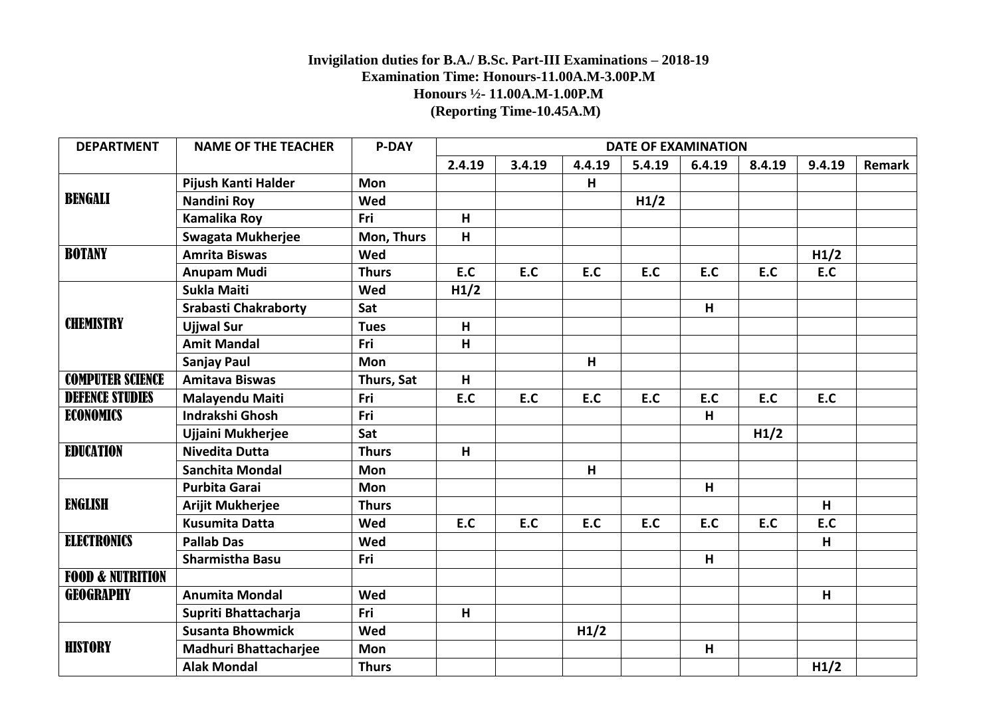## **Invigilation duties for B.A./ B.Sc. Part-III Examinations – 2018-19 Examination Time: Honours-11.00A.M-3.00P.M Honours ½- 11.00A.M-1.00P.M (Reporting Time-10.45A.M)**

| <b>DEPARTMENT</b>           | <b>NAME OF THE TEACHER</b>   | <b>P-DAY</b> | <b>DATE OF EXAMINATION</b> |        |        |        |        |        |        |        |
|-----------------------------|------------------------------|--------------|----------------------------|--------|--------|--------|--------|--------|--------|--------|
|                             |                              |              | 2.4.19                     | 3.4.19 | 4.4.19 | 5.4.19 | 6.4.19 | 8.4.19 | 9.4.19 | Remark |
| <b>BENGALI</b>              | Pijush Kanti Halder          | Mon          |                            |        | н      |        |        |        |        |        |
|                             | <b>Nandini Roy</b>           | Wed          |                            |        |        | H1/2   |        |        |        |        |
|                             | Kamalika Roy                 | Fri          | H                          |        |        |        |        |        |        |        |
|                             | <b>Swagata Mukherjee</b>     | Mon, Thurs   | H                          |        |        |        |        |        |        |        |
| <b>BOTANY</b>               | <b>Amrita Biswas</b>         | Wed          |                            |        |        |        |        |        | H1/2   |        |
|                             | <b>Anupam Mudi</b>           | <b>Thurs</b> | E.C                        | E.C    | E.C    | E.C    | E.C    | E.C    | E.C    |        |
| <b>CHEMISTRY</b>            | Sukla Maiti                  | <b>Wed</b>   | H1/2                       |        |        |        |        |        |        |        |
|                             | <b>Srabasti Chakraborty</b>  | Sat          |                            |        |        |        | H      |        |        |        |
|                             | <b>Ujjwal Sur</b>            | <b>Tues</b>  | H                          |        |        |        |        |        |        |        |
|                             | <b>Amit Mandal</b>           | Fri          | H                          |        |        |        |        |        |        |        |
|                             | <b>Sanjay Paul</b>           | Mon          |                            |        | H      |        |        |        |        |        |
| <b>COMPUTER SCIENCE</b>     | <b>Amitava Biswas</b>        | Thurs, Sat   | H                          |        |        |        |        |        |        |        |
| <b>DEFENCE STUDIES</b>      | Malayendu Maiti              | Fri          | E.C                        | E.C    | E.C    | E.C    | E.C    | E.C    | E.C    |        |
| ECONOMICS                   | <b>Indrakshi Ghosh</b>       | Fri          |                            |        |        |        | H      |        |        |        |
|                             | Ujjaini Mukherjee            | Sat          |                            |        |        |        |        | H1/2   |        |        |
| <b>EDUCATION</b>            | <b>Nivedita Dutta</b>        | <b>Thurs</b> | H                          |        |        |        |        |        |        |        |
|                             | <b>Sanchita Mondal</b>       | Mon          |                            |        | H      |        |        |        |        |        |
| <b>ENGLISH</b>              | <b>Purbita Garai</b>         | <b>Mon</b>   |                            |        |        |        | H      |        |        |        |
|                             | Arijit Mukherjee             | <b>Thurs</b> |                            |        |        |        |        |        | H      |        |
|                             | <b>Kusumita Datta</b>        | <b>Wed</b>   | E.C                        | E.C    | E.C    | E.C    | E.C    | E.C    | E.C    |        |
| <b>ELECTRONICS</b>          | <b>Pallab Das</b>            | Wed          |                            |        |        |        |        |        | H      |        |
|                             | <b>Sharmistha Basu</b>       | Fri          |                            |        |        |        | H      |        |        |        |
| <b>FOOD &amp; NUTRITION</b> |                              |              |                            |        |        |        |        |        |        |        |
| <b>GEOGRAPHY</b>            | <b>Anumita Mondal</b>        | <b>Wed</b>   |                            |        |        |        |        |        | H      |        |
|                             | Supriti Bhattacharja         | Fri          | H                          |        |        |        |        |        |        |        |
| <b>HISTORY</b>              | <b>Susanta Bhowmick</b>      | Wed          |                            |        | H1/2   |        |        |        |        |        |
|                             | <b>Madhuri Bhattacharjee</b> | Mon          |                            |        |        |        | H      |        |        |        |
|                             | <b>Alak Mondal</b>           | <b>Thurs</b> |                            |        |        |        |        |        | H1/2   |        |